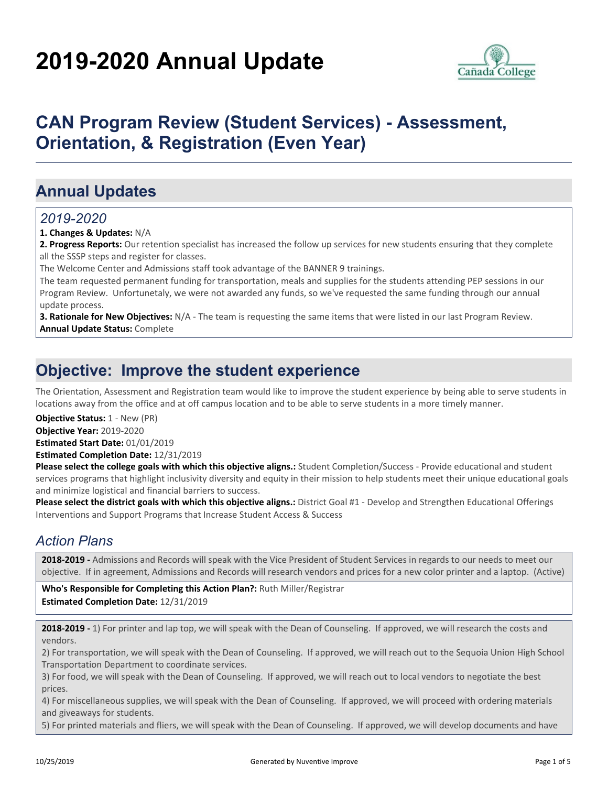# **2019-2020 Annual Update**



## **CAN Program Review (Student Services) - Assessment, Orientation, & Registration (Even Year)**

## **Annual Updates**

#### *2019-2020*

**1. Changes & Updates:** N/A

**2. Progress Reports:** Our retention specialist has increased the follow up services for new students ensuring that they complete all the SSSP steps and register for classes.

The Welcome Center and Admissions staff took advantage of the BANNER 9 trainings.

The team requested permanent funding for transportation, meals and supplies for the students attending PEP sessions in our Program Review. Unfortunetaly, we were not awarded any funds, so we've requested the same funding through our annual update process.

**3. Rationale for New Objectives:** N/A - The team is requesting the same items that were listed in our last Program Review. **Annual Update Status:** Complete

## **Objective: Improve the student experience**

The Orientation, Assessment and Registration team would like to improve the student experience by being able to serve students in locations away from the office and at off campus location and to be able to serve students in a more timely manner.

**Objective Status: 1 - New (PR)** 

**Objective Year:** 2019-2020

**Estimated Start Date:** 01/01/2019 **Estimated Completion Date:** 12/31/2019

**Please select the college goals with which this objective aligns.:** Student Completion/Success - Provide educational and student services programs that highlight inclusivity diversity and equity in their mission to help students meet their unique educational goals and minimize logistical and financial barriers to success.

**Please select the district goals with which this objective aligns.:** District Goal #1 - Develop and Strengthen Educational Offerings Interventions and Support Programs that Increase Student Access & Success

### *Action Plans*

**2018-2019 -** Admissions and Records will speak with the Vice President of Student Services in regards to our needs to meet our objective. If in agreement, Admissions and Records will research vendors and prices for a new color printer and a laptop. (Active)

**Who's Responsible for Completing this Action Plan?:** Ruth Miller/Registrar **Estimated Completion Date:** 12/31/2019

**2018-2019 -** 1) For printer and lap top, we will speak with the Dean of Counseling. If approved, we will research the costs and vendors.

2) For transportation, we will speak with the Dean of Counseling. If approved, we will reach out to the Sequoia Union High School Transportation Department to coordinate services.

3) For food, we will speak with the Dean of Counseling. If approved, we will reach out to local vendors to negotiate the best prices.

4) For miscellaneous supplies, we will speak with the Dean of Counseling. If approved, we will proceed with ordering materials and giveaways for students.

5) For printed materials and fliers, we will speak with the Dean of Counseling. If approved, we will develop documents and have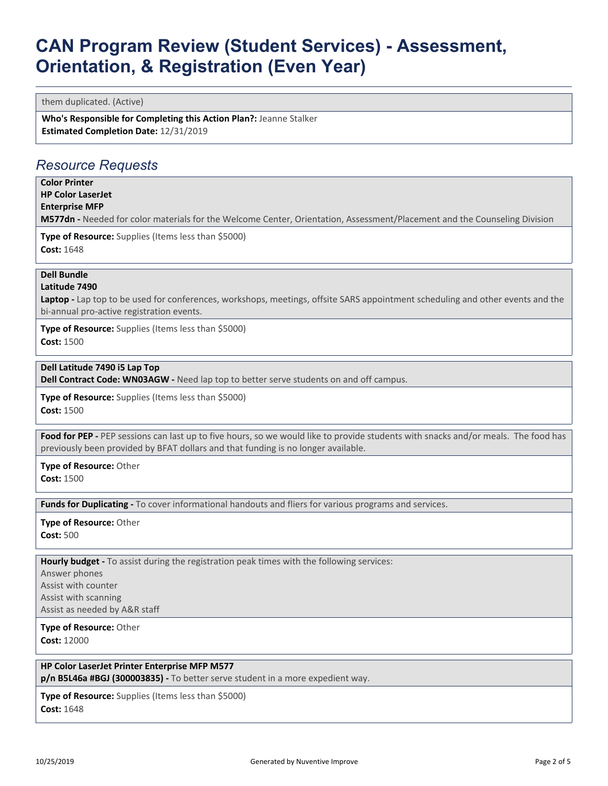them duplicated. (Active)

**Who's Responsible for Completing this Action Plan?:** Jeanne Stalker **Estimated Completion Date:** 12/31/2019

#### *Resource Requests*

**Color Printer HP Color LaserJet**

**Enterprise MFP**

**M577dn -** Needed for color materials for the Welcome Center, Orientation, Assessment/Placement and the Counseling Division

**Type of Resource:** Supplies (Items less than \$5000) **Cost:** 1648

#### **Dell Bundle**

**Latitude 7490**

Laptop - Lap top to be used for conferences, workshops, meetings, offsite SARS appointment scheduling and other events and the bi-annual pro-active registration events.

**Type of Resource:** Supplies (Items less than \$5000) **Cost:** 1500

#### **Dell Latitude 7490 i5 Lap Top**

**Dell Contract Code: WN03AGW -** Need lap top to better serve students on and off campus.

**Type of Resource:** Supplies (Items less than \$5000) **Cost:** 1500

Food for PEP - PEP sessions can last up to five hours, so we would like to provide students with snacks and/or meals. The food has previously been provided by BFAT dollars and that funding is no longer available.

**Type of Resource:** Other

**Cost:** 1500

**Funds for Duplicating -** To cover informational handouts and fliers for various programs and services.

**Type of Resource:** Other **Cost:** 500

**Hourly budget -** To assist during the registration peak times with the following services:

Answer phones Assist with counter Assist with scanning Assist as needed by A&R staff

**Type of Resource:** Other **Cost:** 12000

**HP Color LaserJet Printer Enterprise MFP M577**

**p/n B5L46a #BGJ (300003835) -** To better serve student in a more expedient way.

**Type of Resource:** Supplies (Items less than \$5000) **Cost:** 1648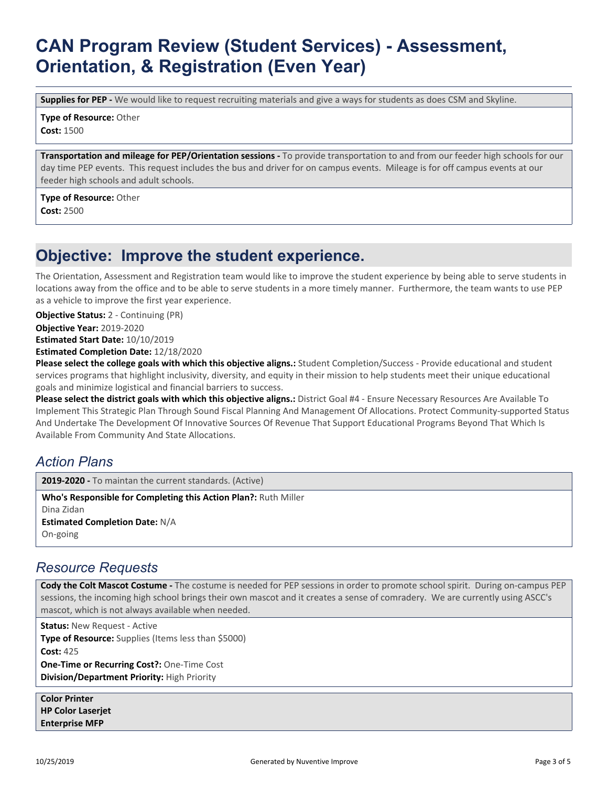**Supplies for PEP -** We would like to request recruiting materials and give a ways for students as does CSM and Skyline.

**Type of Resource:** Other **Cost:** 1500

**Transportation and mileage for PEP/Orientation sessions -** To provide transportation to and from our feeder high schools for our day time PEP events. This request includes the bus and driver for on campus events. Mileage is for off campus events at our feeder high schools and adult schools.

**Type of Resource:** Other **Cost:** 2500

### **Objective: Improve the student experience.**

The Orientation, Assessment and Registration team would like to improve the student experience by being able to serve students in locations away from the office and to be able to serve students in a more timely manner. Furthermore, the team wants to use PEP as a vehicle to improve the first year experience.

**Objective Status:** 2 - Continuing (PR)

**Objective Year:** 2019-2020

**Estimated Start Date:** 10/10/2019

**Estimated Completion Date:** 12/18/2020

**Please select the college goals with which this objective aligns.:** Student Completion/Success - Provide educational and student services programs that highlight inclusivity, diversity, and equity in their mission to help students meet their unique educational goals and minimize logistical and financial barriers to success.

**Please select the district goals with which this objective aligns.:** District Goal #4 - Ensure Necessary Resources Are Available To Implement This Strategic Plan Through Sound Fiscal Planning And Management Of Allocations. Protect Community-supported Status And Undertake The Development Of Innovative Sources Of Revenue That Support Educational Programs Beyond That Which Is Available From Community And State Allocations.

### *Action Plans*

**2019-2020 -** To maintan the current standards. (Active)

**Who's Responsible for Completing this Action Plan?:** Ruth Miller Dina Zidan **Estimated Completion Date:** N/A On-going

#### *Resource Requests*

**Cody the Colt Mascot Costume -** The costume is needed for PEP sessions in order to promote school spirit. During on-campus PEP sessions, the incoming high school brings their own mascot and it creates a sense of comradery. We are currently using ASCC's mascot, which is not always available when needed.

**Status:** New Request - Active **Type of Resource:** Supplies (Items less than \$5000) **Cost:** 425 **One-Time or Recurring Cost?:** One-Time Cost **Division/Department Priority:** High Priority

**Color Printer HP Color Laserjet Enterprise MFP**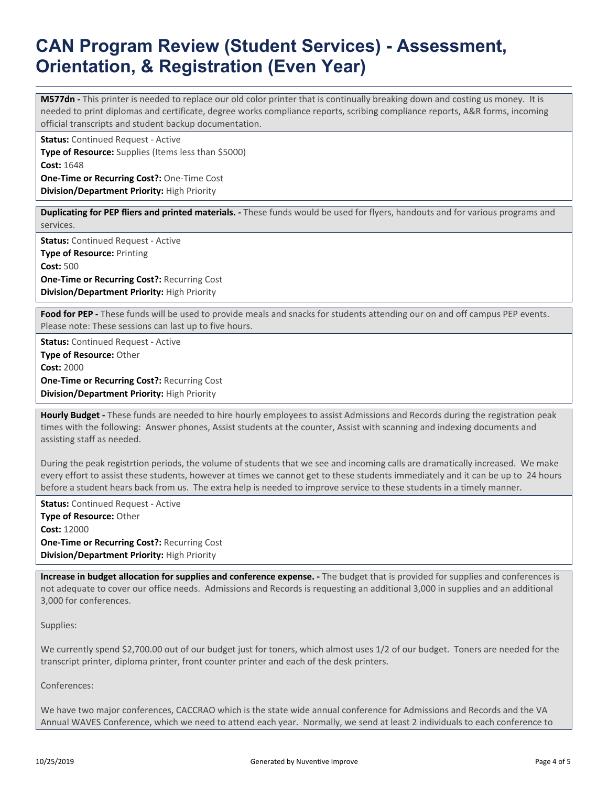**M577dn -** This printer is needed to replace our old color printer that is continually breaking down and costing us money. It is needed to print diplomas and certificate, degree works compliance reports, scribing compliance reports, A&R forms, incoming official transcripts and student backup documentation.

**Status:** Continued Request - Active **Type of Resource:** Supplies (Items less than \$5000) **Cost:** 1648 **One-Time or Recurring Cost?:** One-Time Cost **Division/Department Priority:** High Priority

**Duplicating for PEP fliers and printed materials. -** These funds would be used for flyers, handouts and for various programs and services.

**Status:** Continued Request - Active **Type of Resource:** Printing **Cost:** 500 **One-Time or Recurring Cost?:** Recurring Cost **Division/Department Priority:** High Priority

**Food for PEP -** These funds will be used to provide meals and snacks for students attending our on and off campus PEP events. Please note: These sessions can last up to five hours.

**Status:** Continued Request - Active **Type of Resource:** Other **Cost:** 2000 **One-Time or Recurring Cost?:** Recurring Cost **Division/Department Priority:** High Priority

**Hourly Budget -** These funds are needed to hire hourly employees to assist Admissions and Records during the registration peak times with the following: Answer phones, Assist students at the counter, Assist with scanning and indexing documents and assisting staff as needed.

During the peak registrtion periods, the volume of students that we see and incoming calls are dramatically increased. We make every effort to assist these students, however at times we cannot get to these students immediately and it can be up to 24 hours before a student hears back from us. The extra help is needed to improve service to these students in a timely manner.

**Status:** Continued Request - Active **Type of Resource:** Other **Cost:** 12000 **One-Time or Recurring Cost?:** Recurring Cost **Division/Department Priority:** High Priority

**Increase in budget allocation for supplies and conference expense. -** The budget that is provided for supplies and conferences is not adequate to cover our office needs. Admissions and Records is requesting an additional 3,000 in supplies and an additional 3,000 for conferences.

Supplies:

We currently spend \$2,700.00 out of our budget just for toners, which almost uses 1/2 of our budget. Toners are needed for the transcript printer, diploma printer, front counter printer and each of the desk printers.

Conferences:

We have two major conferences, CACCRAO which is the state wide annual conference for Admissions and Records and the VA Annual WAVES Conference, which we need to attend each year. Normally, we send at least 2 individuals to each conference to